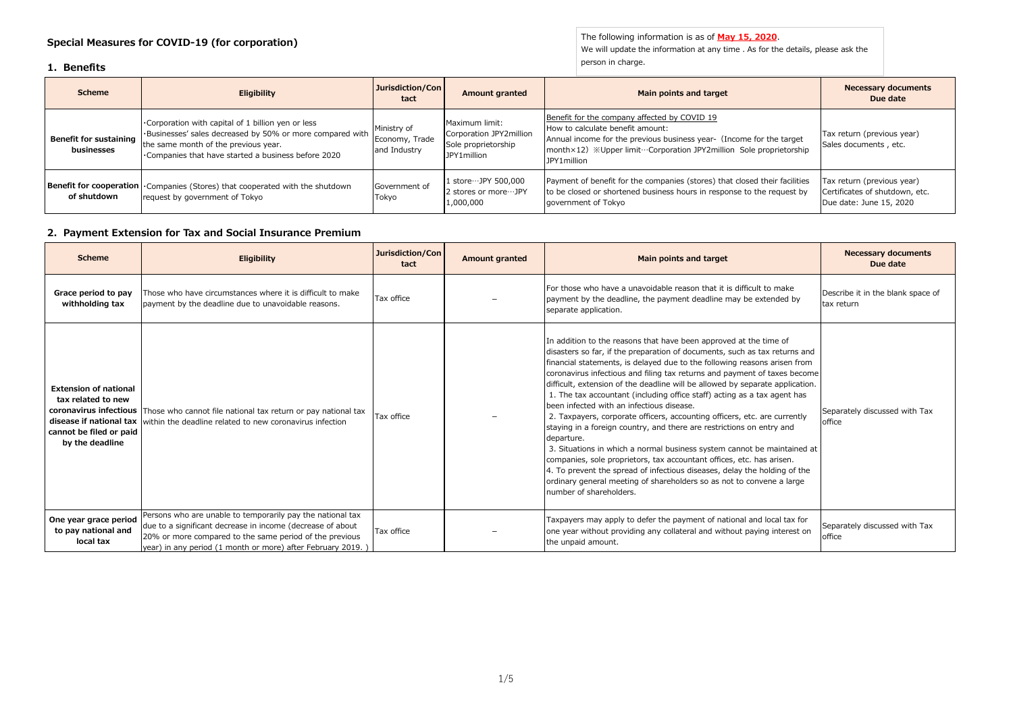## **Special Measures for COVID-19 (for corporation)**

#### **1. Benefits**

The following information is as of **May 15, 2020**. We will update the information at any time . As for the details, please ask the person in charge.

| <b>Scheme</b>                        | <b>Eligibility</b>                                                                                                                                                                                            | Jurisdiction/Con<br>tact                      | <b>Amount granted</b>                                                           | Main points and target                                                                                                                                                                                                                        | <b>Necessary documents</b><br>Due date                                                  |
|--------------------------------------|---------------------------------------------------------------------------------------------------------------------------------------------------------------------------------------------------------------|-----------------------------------------------|---------------------------------------------------------------------------------|-----------------------------------------------------------------------------------------------------------------------------------------------------------------------------------------------------------------------------------------------|-----------------------------------------------------------------------------------------|
| Benefit for sustaining<br>businesses | Corporation with capital of 1 billion yen or less<br>. Businesses' sales decreased by 50% or more compared with<br>the same month of the previous year.<br>Companies that have started a business before 2020 | Ministry of<br>Economy, Trade<br>and Industry | Maximum limit:<br>Corporation JPY2million<br>Sole proprietorship<br>JPY1million | Benefit for the company affected by COVID 19<br>How to calculate benefit amount:<br>Annual income for the previous business year- (Income for the target<br>month×12) ※Upper limit…Corporation JPY2million Sole proprietorship<br>JPY1million | Tax return (previous year)<br>Sales documents, etc.                                     |
| of shutdown                          | <b>Benefit for cooperation</b> • Companies (Stores) that cooperated with the shutdown<br>request by government of Tokyo                                                                                       | Government of<br>Tokyo                        | 1 store…JPY 500,000<br>2 stores or more ··· JPY<br>1,000,000                    | Payment of benefit for the companies (stores) that closed their facilities<br>to be closed or shortened business hours in response to the request by<br>government of Tokyo                                                                   | Tax return (previous year)<br>Certificates of shutdown, etc.<br>Due date: June 15, 2020 |

# **2. Payment Extension for Tax and Social Insurance Premium**

| <b>Scheme</b>                                                                                    | Eligibility                                                                                                                                                                                                                                        | Jurisdiction/Con<br>tact | <b>Amount granted</b> | Main points and target                                                                                                                                                                                                                                                                                                                                                                                                                                                                                                                                                                                                                                                                                                                                                                                                                                                                                                                                                                                                       | <b>Necessary documents</b><br>Due date          |
|--------------------------------------------------------------------------------------------------|----------------------------------------------------------------------------------------------------------------------------------------------------------------------------------------------------------------------------------------------------|--------------------------|-----------------------|------------------------------------------------------------------------------------------------------------------------------------------------------------------------------------------------------------------------------------------------------------------------------------------------------------------------------------------------------------------------------------------------------------------------------------------------------------------------------------------------------------------------------------------------------------------------------------------------------------------------------------------------------------------------------------------------------------------------------------------------------------------------------------------------------------------------------------------------------------------------------------------------------------------------------------------------------------------------------------------------------------------------------|-------------------------------------------------|
| Grace period to pay<br>withholding tax                                                           | Those who have circumstances where it is difficult to make<br>payment by the deadline due to unavoidable reasons.                                                                                                                                  | Tax office               |                       | For those who have a unavoidable reason that it is difficult to make<br>payment by the deadline, the payment deadline may be extended by<br>separate application.                                                                                                                                                                                                                                                                                                                                                                                                                                                                                                                                                                                                                                                                                                                                                                                                                                                            | Describe it in the blank space of<br>tax return |
| <b>Extension of national</b><br>tax related to new<br>cannot be filed or paid<br>by the deadline | coronavirus infectious Those who cannot file national tax return or pay national tax<br>disease if national tax within the deadline related to new coronavirus infection                                                                           | Tax office               |                       | In addition to the reasons that have been approved at the time of<br>disasters so far, if the preparation of documents, such as tax returns and<br>financial statements, is delayed due to the following reasons arisen from<br>coronavirus infectious and filing tax returns and payment of taxes become<br>difficult, extension of the deadline will be allowed by separate application.<br>1. The tax accountant (including office staff) acting as a tax agent has<br>been infected with an infectious disease.<br>2. Taxpayers, corporate officers, accounting officers, etc. are currently<br>staying in a foreign country, and there are restrictions on entry and<br>departure.<br>3. Situations in which a normal business system cannot be maintained at<br>companies, sole proprietors, tax accountant offices, etc. has arisen.<br>4. To prevent the spread of infectious diseases, delay the holding of the<br>ordinary general meeting of shareholders so as not to convene a large<br>number of shareholders. | Separately discussed with Tax<br>office         |
| One year grace period<br>to pay national and<br>local tax                                        | Persons who are unable to temporarily pay the national tax<br>due to a significant decrease in income (decrease of about<br>20% or more compared to the same period of the previous<br>year) in any period (1 month or more) after February 2019.) | Tax office               |                       | Taxpayers may apply to defer the payment of national and local tax for<br>one year without providing any collateral and without paying interest on<br>the unpaid amount.                                                                                                                                                                                                                                                                                                                                                                                                                                                                                                                                                                                                                                                                                                                                                                                                                                                     | Separately discussed with Tax<br>office         |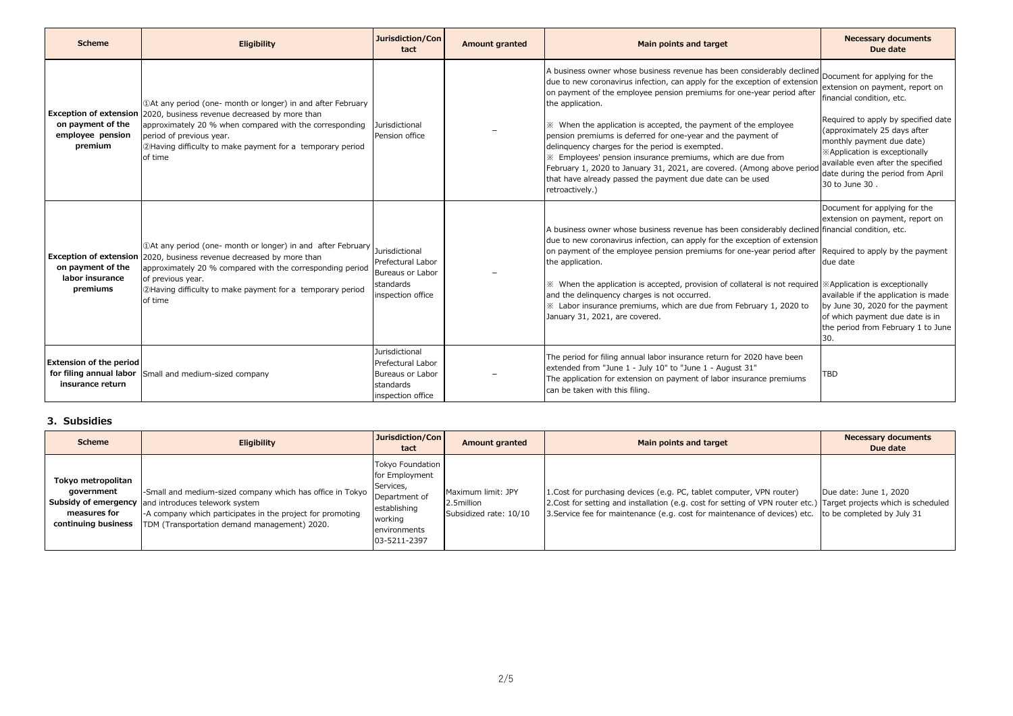| <b>Scheme</b>                                      | Eligibility                                                                                                                                                                                                                                                                                           | Jurisdiction/Con<br>tact                                                                         | <b>Amount granted</b> | Main points and target                                                                                                                                                                                                                                                                                                                                                                                                                                                                                                                                                                                                                                           | <b>Necessary documents</b><br>Due date                                                                                                                                                                                                                                                                                          |
|----------------------------------------------------|-------------------------------------------------------------------------------------------------------------------------------------------------------------------------------------------------------------------------------------------------------------------------------------------------------|--------------------------------------------------------------------------------------------------|-----------------------|------------------------------------------------------------------------------------------------------------------------------------------------------------------------------------------------------------------------------------------------------------------------------------------------------------------------------------------------------------------------------------------------------------------------------------------------------------------------------------------------------------------------------------------------------------------------------------------------------------------------------------------------------------------|---------------------------------------------------------------------------------------------------------------------------------------------------------------------------------------------------------------------------------------------------------------------------------------------------------------------------------|
| on payment of the<br>employee pension<br>premium   | <b>Exception of extension</b> 2020, business revenue decreased by more than<br>approximately 20 % when compared with the corresponding<br>period of previous year.<br>2Having difficulty to make payment for a temporary period<br>of time                                                            | Jurisdictional<br>Pension office                                                                 |                       | A business owner whose business revenue has been considerably declined<br>due to new coronavirus infection, can apply for the exception of extension<br>on payment of the employee pension premiums for one-year period after<br>the application.<br>* When the application is accepted, the payment of the employee<br>pension premiums is deferred for one-year and the payment of<br>delinquency charges for the period is exempted.<br>※ Employees' pension insurance premiums, which are due from<br>February 1, 2020 to January 31, 2021, are covered. (Among above perior<br>that have already passed the payment due date can be used<br>retroactively.) | Document for applying for the<br>extension on payment, report on<br>financial condition, etc.<br>Required to apply by specified date<br>(approximately 25 days after<br>monthly payment due date)<br>*Application is exceptionally<br>available even after the specified<br>date during the period from April<br>30 to June 30. |
| on payment of the<br>labor insurance<br>premiums   | 10At any period (one- month or longer) in and after February<br><b>Exception of extension</b> 2020, business revenue decreased by more than<br>approximately 20 % compared with the corresponding period<br>of previous year.<br>2Having difficulty to make payment for a temporary period<br>of time | Jurisdictional<br>Prefectural Labor<br>Bureaus or Labor<br>standards<br>inspection office        |                       | A business owner whose business revenue has been considerably declined financial condition, etc.<br>due to new coronavirus infection, can apply for the exception of extension<br>on payment of the employee pension premiums for one-year period after<br>the application.<br>* When the application is accepted, provision of collateral is not required  *Application is exceptionally<br>and the delinguency charges is not occurred.<br>X Labor insurance premiums, which are due from February 1, 2020 to<br>January 31, 2021, are covered.                                                                                                                | Document for applying for the<br>extension on payment, report on<br>Required to apply by the payment<br>due date<br>available if the application is made<br>by June 30, 2020 for the payment<br>of which payment due date is in<br>the period from February 1 to June<br>30.                                                    |
| <b>Extension of the period</b><br>insurance return | for filing annual labor Small and medium-sized company                                                                                                                                                                                                                                                | <b>Jurisdictional</b><br>Prefectural Labor<br>Bureaus or Labor<br>standards<br>inspection office |                       | The period for filing annual labor insurance return for 2020 have been<br>extended from "June 1 - July 10" to "June 1 - August 31"<br>The application for extension on payment of labor insurance premiums<br>can be taken with this filing.                                                                                                                                                                                                                                                                                                                                                                                                                     | <b>TBD</b>                                                                                                                                                                                                                                                                                                                      |

### **3. Subsidies**

| <b>Scheme</b>                                                           | <b>Eligibility</b>                                                                                                                                                                                                             | Jurisdiction/Con<br>tact                                                                                                           | <b>Amount granted</b>                                      | Main points and target                                                                                                                                                                                                                                                                                | <b>Necessary documents</b><br>Due date |
|-------------------------------------------------------------------------|--------------------------------------------------------------------------------------------------------------------------------------------------------------------------------------------------------------------------------|------------------------------------------------------------------------------------------------------------------------------------|------------------------------------------------------------|-------------------------------------------------------------------------------------------------------------------------------------------------------------------------------------------------------------------------------------------------------------------------------------------------------|----------------------------------------|
| Tokyo metropolitan<br>government<br>measures for<br>continuing business | -Small and medium-sized company which has office in Tokyo<br>Subsidy of emergency and introduces telework system<br>-A company which participates in the project for promoting<br>TDM (Transportation demand management) 2020. | <b>Tokyo Foundation</b><br>for Employment<br>Services,<br>Department of<br>establishing<br>working<br>environments<br>03-5211-2397 | Maximum limit: JPY<br>2.5million<br>Subsidized rate: 10/10 | 1. Cost for purchasing devices (e.g. PC, tablet computer, VPN router)<br>2. Cost for setting and installation (e.g. cost for setting of VPN router etc.) Target projects which is scheduled<br>31. Service fee for maintenance (e.g. cost for maintenance of devices) etc. to be completed by July 31 | Due date: June 1, 2020                 |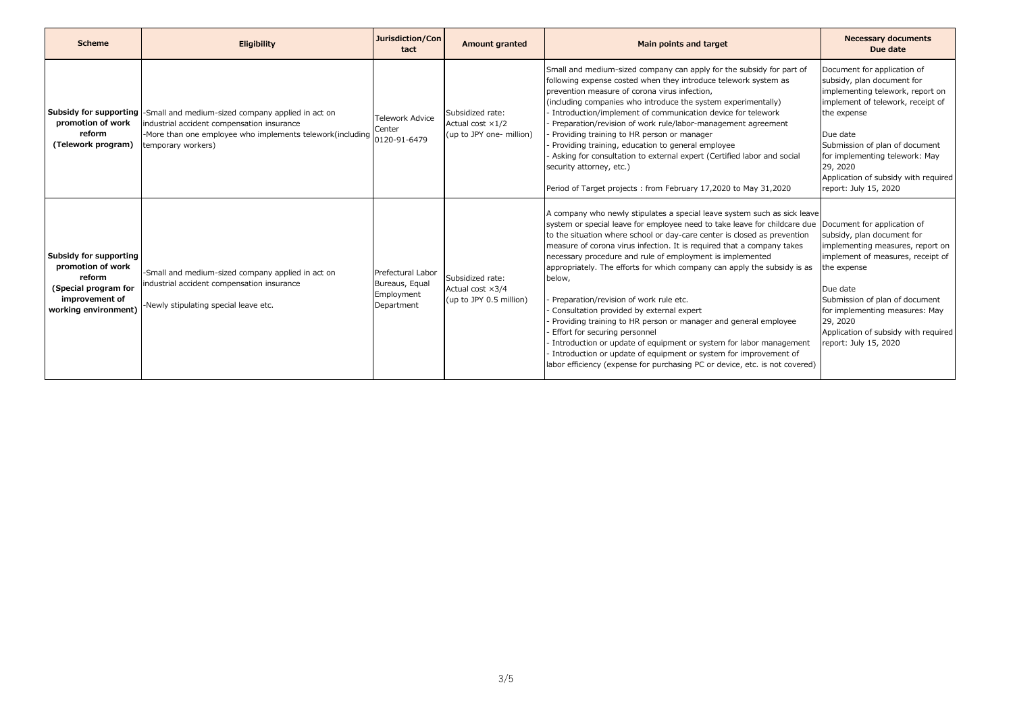| <b>Scheme</b>                                                                                                           | Eligibility                                                                                                                                                                                                      | Jurisdiction/Con<br>tact                                        | <b>Amount granted</b>                                                    | Main points and target                                                                                                                                                                                                                                                                                                                                                                                                                                                                                                                                                                                                                                                                                                                                                                                                                                                                                          | <b>Necessary documents</b><br>Due date                                                                                                                                                                                                                                                                         |
|-------------------------------------------------------------------------------------------------------------------------|------------------------------------------------------------------------------------------------------------------------------------------------------------------------------------------------------------------|-----------------------------------------------------------------|--------------------------------------------------------------------------|-----------------------------------------------------------------------------------------------------------------------------------------------------------------------------------------------------------------------------------------------------------------------------------------------------------------------------------------------------------------------------------------------------------------------------------------------------------------------------------------------------------------------------------------------------------------------------------------------------------------------------------------------------------------------------------------------------------------------------------------------------------------------------------------------------------------------------------------------------------------------------------------------------------------|----------------------------------------------------------------------------------------------------------------------------------------------------------------------------------------------------------------------------------------------------------------------------------------------------------------|
| promotion of work<br>reform<br>(Telework program)                                                                       | <b>Subsidy for supporting</b> -Small and medium-sized company applied in act on<br>industrial accident compensation insurance<br>-More than one employee who implements telework(including<br>temporary workers) | <b>Telework Advice</b><br>Center<br>0120-91-6479                | Subsidized rate:<br>Actual cost $\times$ 1/2<br>(up to JPY one- million) | Small and medium-sized company can apply for the subsidy for part of<br>following expense costed when they introduce telework system as<br>prevention measure of corona virus infection,<br>(including companies who introduce the system experimentally)<br>Introduction/implement of communication device for telework<br>Preparation/revision of work rule/labor-management agreement<br>Providing training to HR person or manager<br>Providing training, education to general employee<br>Asking for consultation to external expert (Certified labor and social<br>security attorney, etc.)<br>Period of Target projects: from February 17,2020 to May 31,2020                                                                                                                                                                                                                                            | Document for application of<br>subsidy, plan document for<br>implementing telework, report on<br>implement of telework, receipt of<br>the expense<br>Due date<br>Submission of plan of document<br>for implementing telework: May<br>29, 2020<br>Application of subsidy with required<br>report: July 15, 2020 |
| Subsidy for supporting<br>promotion of work<br>reform<br>(Special program for<br>improvement of<br>working environment) | -Small and medium-sized company applied in act on<br>industrial accident compensation insurance<br>-Newly stipulating special leave etc.                                                                         | Prefectural Labor<br>Bureaus, Equal<br>Employment<br>Department | Subsidized rate:<br>Actual cost $\times 3/4$<br>(up to JPY 0.5 million)  | A company who newly stipulates a special leave system such as sick leave<br>system or special leave for employee need to take leave for childcare due Document for application of<br>to the situation where school or day-care center is closed as prevention<br>measure of corona virus infection. It is required that a company takes<br>necessary procedure and rule of employment is implemented<br>appropriately. The efforts for which company can apply the subsidy is as<br>below,<br>Preparation/revision of work rule etc.<br>Consultation provided by external expert<br>Providing training to HR person or manager and general employee<br>Effort for securing personnel<br>Introduction or update of equipment or system for labor management<br>- Introduction or update of equipment or system for improvement of<br>labor efficiency (expense for purchasing PC or device, etc. is not covered) | subsidy, plan document for<br>implementing measures, report on<br>implement of measures, receipt of<br>the expense<br>Due date<br>Submission of plan of document<br>for implementing measures: May<br>29, 2020<br>Application of subsidy with required<br>report: July 15, 2020                                |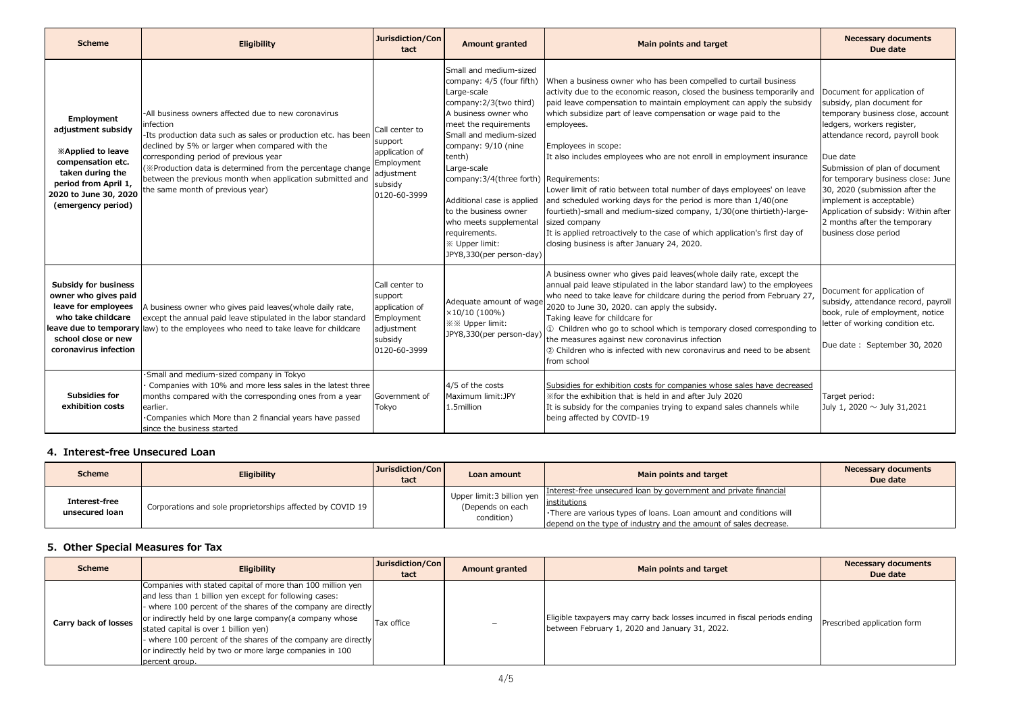| <b>Scheme</b>                                                                                                                                                                 | <b>Eligibility</b>                                                                                                                                                                                                                                                                                                                                                                            | Jurisdiction/Con<br>tact                                                                           | <b>Amount granted</b>                                                                                                                                                                                                                                                                                                                                                                                               | Main points and target                                                                                                                                                                                                                                                                                                                                                                                                                                                                                                                                                                                                                                                                                                                                                   | <b>Necessary documents</b><br>Due date                                                                                                                                                                                                                                                                                                                                                                             |
|-------------------------------------------------------------------------------------------------------------------------------------------------------------------------------|-----------------------------------------------------------------------------------------------------------------------------------------------------------------------------------------------------------------------------------------------------------------------------------------------------------------------------------------------------------------------------------------------|----------------------------------------------------------------------------------------------------|---------------------------------------------------------------------------------------------------------------------------------------------------------------------------------------------------------------------------------------------------------------------------------------------------------------------------------------------------------------------------------------------------------------------|--------------------------------------------------------------------------------------------------------------------------------------------------------------------------------------------------------------------------------------------------------------------------------------------------------------------------------------------------------------------------------------------------------------------------------------------------------------------------------------------------------------------------------------------------------------------------------------------------------------------------------------------------------------------------------------------------------------------------------------------------------------------------|--------------------------------------------------------------------------------------------------------------------------------------------------------------------------------------------------------------------------------------------------------------------------------------------------------------------------------------------------------------------------------------------------------------------|
| Employment<br>adjustment subsidy<br><b>Examplied to leave</b><br>compensation etc.<br>taken during the<br>period from April 1,<br>2020 to June 30, 2020<br>(emergency period) | -All business owners affected due to new coronavirus<br>nfection<br>-Its production data such as sales or production etc. has been<br>declined by 5% or larger when compared with the<br>corresponding period of previous year<br>(※Production data is determined from the percentage change<br>between the previous month when application submitted and<br>the same month of previous year) | Call center to<br>support<br>application of<br>Employment<br>adjustment<br>subsidy<br>0120-60-3999 | Small and medium-sized<br>company: 4/5 (four fifth)<br>Large-scale<br>company: 2/3(two third)<br>A business owner who<br>meet the requirements<br>Small and medium-sized<br>company: 9/10 (nine<br>tenth)<br>Large-scale<br>company: 3/4(three forth) Requirements:<br>Additional case is applied<br>to the business owner<br>who meets supplemental<br>requirements.<br>※ Upper limit:<br>JPY8,330(per person-day) | When a business owner who has been compelled to curtail business<br>activity due to the economic reason, closed the business temporarily and<br>paid leave compensation to maintain employment can apply the subsidy<br>which subsidize part of leave compensation or wage paid to the<br>employees.<br>Employees in scope:<br>It also includes employees who are not enroll in employment insurance<br>Lower limit of ratio between total number of days employees' on leave<br>and scheduled working days for the period is more than 1/40(one<br>fourtieth)-small and medium-sized company, 1/30(one thirtieth)-large-<br>sized company<br>It is applied retroactively to the case of which application's first day of<br>closing business is after January 24, 2020. | Document for application of<br>subsidy, plan document for<br>temporary business close, account<br>ledgers, workers register,<br>attendance record, payroll book<br>Due date<br>Submission of plan of document<br>for temporary business close: June<br>30, 2020 (submission after the<br>implement is acceptable)<br>Application of subsidy: Within after<br>2 months after the temporary<br>business close period |
| <b>Subsidy for business</b><br>owner who gives paid<br>leave for employees<br>who take childcare<br>school close or new<br>coronavirus infection                              | A business owner who gives paid leaves (whole daily rate,<br>except the annual paid leave stipulated in the labor standard<br>leave due to temporary law) to the employees who need to take leave for childcare                                                                                                                                                                               | Call center to<br>support<br>application of<br>Employment<br>adjustment<br>subsidy<br>0120-60-3999 | Adequate amount of wage<br>×10/10(100%)<br><b>※※ Upper limit:</b><br>JPY8,330(per person-day)                                                                                                                                                                                                                                                                                                                       | A business owner who gives paid leaves (whole daily rate, except the<br>annual paid leave stipulated in the labor standard law) to the employees<br>who need to take leave for childcare during the period from February 27,<br>2020 to June 30, 2020. can apply the subsidy.<br>Taking leave for childcare for<br>1 Children who go to school which is temporary closed corresponding to<br>the measures against new coronavirus infection<br>2) Children who is infected with new coronavirus and need to be absent<br>from school                                                                                                                                                                                                                                     | Document for application of<br>subsidy, attendance record, payroll<br>book, rule of employment, notice<br>letter of working condition etc.<br>Due date: September 30, 2020                                                                                                                                                                                                                                         |
| <b>Subsidies for</b><br>exhibition costs                                                                                                                                      | ·Small and medium-sized company in Tokyo<br>Companies with 10% and more less sales in the latest three<br>months compared with the corresponding ones from a year<br>earlier.<br>. Companies which More than 2 financial years have passed<br>since the business started                                                                                                                      | Government of<br>Tokyo                                                                             | 4/5 of the costs<br>Maximum limit: JPY<br>1.5million                                                                                                                                                                                                                                                                                                                                                                | Subsidies for exhibition costs for companies whose sales have decreased<br>Xfor the exhibition that is held in and after July 2020<br>It is subsidy for the companies trying to expand sales channels while<br>being affected by COVID-19                                                                                                                                                                                                                                                                                                                                                                                                                                                                                                                                | Target period:<br>July 1, 2020 $\sim$ July 31,2021                                                                                                                                                                                                                                                                                                                                                                 |

## **4. Interest-free Unsecured Loan**

| <b>Scheme</b>                   | <b>Eligibility</b>                                         | Jurisdiction/Con<br>tact | Loan amount                                                  | Main points and target                                                                                                                                                                                                      | <b>Necessary documents</b><br>Due date |
|---------------------------------|------------------------------------------------------------|--------------------------|--------------------------------------------------------------|-----------------------------------------------------------------------------------------------------------------------------------------------------------------------------------------------------------------------------|----------------------------------------|
| Interest-free<br>unsecured loan | Corporations and sole proprietorships affected by COVID 19 |                          | Upper limit: 3 billion yen<br>(Depends on each<br>condition) | Interest-free unsecured loan by government and private financial<br>institutions<br>. There are various types of loans. Loan amount and conditions will<br>depend on the type of industry and the amount of sales decrease. |                                        |

## **5. Other Special Measures for Tax**

| <b>Scheme</b>        | <b>Eligibility</b>                                                                                                                                                                                                                                                                                                                                                                                                                     | Jurisdiction/Con<br>tact | <b>Amount granted</b> | Main points and target                                                                                                       | <b>Necessary documents</b><br>Due date |
|----------------------|----------------------------------------------------------------------------------------------------------------------------------------------------------------------------------------------------------------------------------------------------------------------------------------------------------------------------------------------------------------------------------------------------------------------------------------|--------------------------|-----------------------|------------------------------------------------------------------------------------------------------------------------------|----------------------------------------|
| Carry back of losses | Companies with stated capital of more than 100 million yen<br>and less than 1 billion yen except for following cases:<br>where 100 percent of the shares of the company are directly<br>or indirectly held by one large company (a company whose<br>stated capital is over 1 billion yen)<br>where 100 percent of the shares of the company are directly<br>or indirectly held by two or more large companies in 100<br>percent aroup. | Tax office               | -                     | Eligible taxpayers may carry back losses incurred in fiscal periods ending<br>between February 1, 2020 and January 31, 2022. | Prescribed application form            |